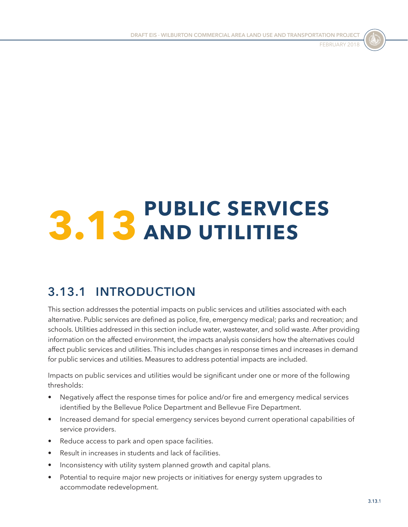

# **3.13 PUBLIC SERVICES AND UTILITIES**

# **3.13.1 INTRODUCTION**

This section addresses the potential impacts on public services and utilities associated with each alternative. Public services are defined as police, fire, emergency medical; parks and recreation; and schools. Utilities addressed in this section include water, wastewater, and solid waste. After providing information on the affected environment, the impacts analysis considers how the alternatives could affect public services and utilities. This includes changes in response times and increases in demand for public services and utilities. Measures to address potential impacts are included.

Impacts on public services and utilities would be significant under one or more of the following thresholds:

- Negatively affect the response times for police and/or fire and emergency medical services identified by the Bellevue Police Department and Bellevue Fire Department.
- Increased demand for special emergency services beyond current operational capabilities of service providers.
- Reduce access to park and open space facilities.
- Result in increases in students and lack of facilities.
- Inconsistency with utility system planned growth and capital plans.
- Potential to require major new projects or initiatives for energy system upgrades to accommodate redevelopment.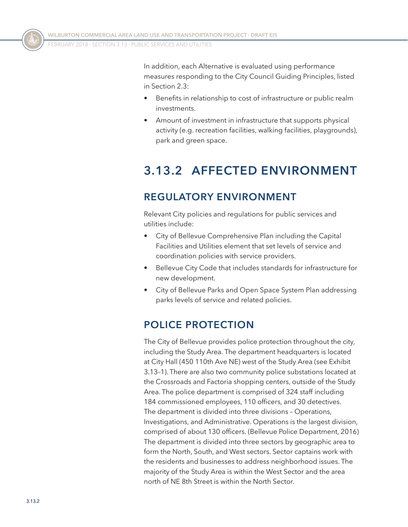In addition, each Alternative is evaluated using performance measures responding to the City Council Guiding Principles, listed in Section 2.3:

- Benefits in relationship to cost of infrastructure or public realm investments.
- Amount of investment in infrastructure that supports physical activity (e.g. recreation facilities, walking facilities, playgrounds), park and green space.

## **3.13.2 AFFECTED ENVIRONMENT**

### **REGULATORY ENVIRONMENT**

Relevant City policies and regulations for public services and utilities include:

- City of Bellevue Comprehensive Plan including the Capital Facilities and Utilities element that set levels of service and coordination policies with service providers.
- Bellevue City Code that includes standards for infrastructure for new development.
- City of Bellevue Parks and Open Space System Plan addressing parks levels of service and related policies.

### **POLICE PROTECTION**

The City of Bellevue provides police protection throughout the city, including the Study Area. The department headquarters is located at City Hall (450 110th Ave NE) west of the Study Area (see [Exhibit](#page-2-0)  [3.13–1](#page-2-0)). There are also two community police substations located at the Crossroads and Factoria shopping centers, outside of the Study Area. The police department is comprised of 324 staff including 184 commissioned employees, 110 officers, and 30 detectives. The department is divided into three divisions – Operations, Investigations, and Administrative. Operations is the largest division, comprised of about 130 officers. (Bellevue Police Department, 2016) The department is divided into three sectors by geographic area to form the North, South, and West sectors. Sector captains work with the residents and businesses to address neighborhood issues. The majority of the Study Area is within the West Sector and the area north of NE 8th Street is within the North Sector.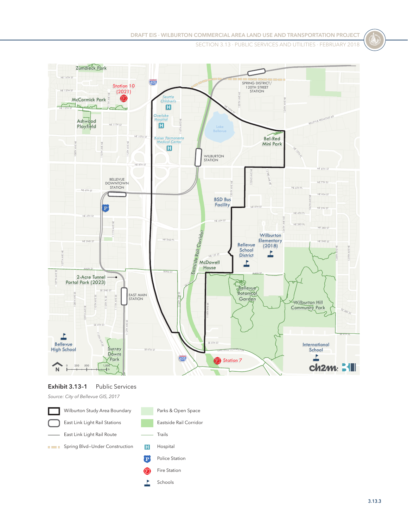

#### <span id="page-2-0"></span>**Exhibit 3.13–1** Public Services

*Source: City of Bellevue GIS, 2017*



Schools

Ł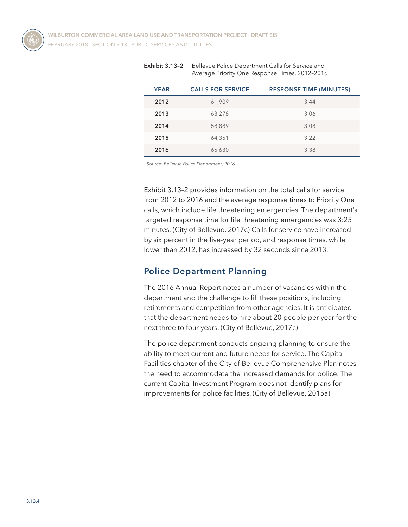| <b>YEAR</b> | <b>CALLS FOR SERVICE</b> | <b>RESPONSE TIME (MINUTES)</b> |
|-------------|--------------------------|--------------------------------|
| 2012        | 61,909                   | 3:44                           |
| 2013        | 63,278                   | 3:06                           |
| 2014        | 58,889                   | 3:08                           |
| 2015        | 64,351                   | 3:22                           |
| 2016        | 65,630                   | 3:38                           |

<span id="page-3-0"></span>**Exhibit 3.13-2** Bellevue Police Department Calls for Service and Average Priority One Response Times, 2012–2016

*Source: Bellevue Police Department, 2016*

[Exhibit 3.13–2](#page-3-0) provides information on the total calls for service from 2012 to 2016 and the average response times to Priority One calls, which include life threatening emergencies. The department's targeted response time for life threatening emergencies was 3:25 minutes. (City of Bellevue, 2017c) Calls for service have increased by six percent in the five-year period, and response times, while lower than 2012, has increased by 32 seconds since 2013.

#### **Police Department Planning**

The 2016 Annual Report notes a number of vacancies within the department and the challenge to fill these positions, including retirements and competition from other agencies. It is anticipated that the department needs to hire about 20 people per year for the next three to four years. (City of Bellevue, 2017c)

The police department conducts ongoing planning to ensure the ability to meet current and future needs for service. The Capital Facilities chapter of the City of Bellevue Comprehensive Plan notes the need to accommodate the increased demands for police. The current Capital Investment Program does not identify plans for improvements for police facilities. (City of Bellevue, 2015a)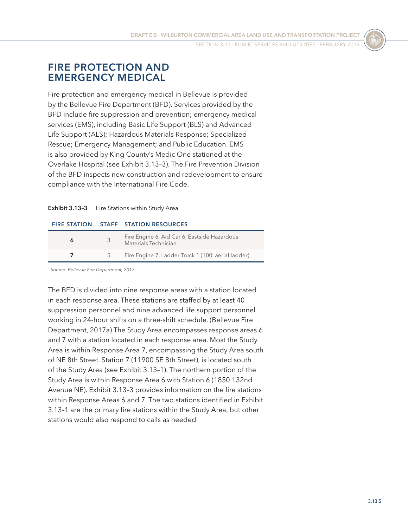### **FIRE PROTECTION AND EMERGENCY MEDICAL**

Fire protection and emergency medical in Bellevue is provided by the Bellevue Fire Department (BFD). Services provided by the BFD include fire suppression and prevention; emergency medical services (EMS), including Basic Life Support (BLS) and Advanced Life Support (ALS); Hazardous Materials Response; Specialized Rescue; Emergency Management; and Public Education. EMS is also provided by King County's Medic One stationed at the Overlake Hospital (see [Exhibit 3.13–3](#page-4-0)). The Fire Prevention Division of the BFD inspects new construction and redevelopment to ensure compliance with the International Fire Code.

#### <span id="page-4-0"></span>**Exhibit 3.13-3** Fire Stations within Study Area

#### **FIRE STATION STAFF STATION RESOURCES**

|       | Fire Engine 6, Aid Car 6, Eastside Hazardous<br>Materials Technician |
|-------|----------------------------------------------------------------------|
| $5 -$ | Fire Engine 7, Ladder Truck 1 (100' aerial ladder)                   |

*Source: Bellevue Fire Department, 2017*

The BFD is divided into nine response areas with a station located in each response area. These stations are staffed by at least 40 suppression personnel and nine advanced life support personnel working in 24-hour shifts on a three-shift schedule. (Bellevue Fire Department, 2017a) The Study Area encompasses response areas 6 and 7 with a station located in each response area. Most the Study Area is within Response Area 7, encompassing the Study Area south of NE 8th Street. Station 7 (11900 SE 8th Street), is located south of the Study Area (see [Exhibit 3.13–1](#page-2-0)). The northern portion of the Study Area is within Response Area 6 with Station 6 (1850 132nd Avenue NE). [Exhibit 3.13–3](#page-4-0) provides information on the fire stations within Response Areas 6 and 7. The two stations identified in [Exhibit](#page-2-0)  [3.13–1](#page-2-0) are the primary fire stations within the Study Area, but other stations would also respond to calls as needed.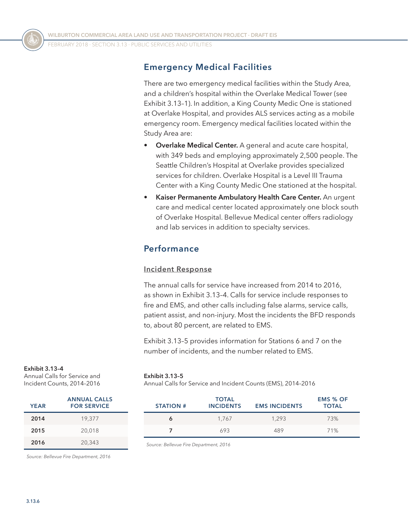### **Emergency Medical Facilities**

There are two emergency medical facilities within the Study Area, and a children's hospital within the Overlake Medical Tower (see [Exhibit 3.13–1](#page-2-0)). In addition, a King County Medic One is stationed at Overlake Hospital, and provides ALS services acting as a mobile emergency room. Emergency medical facilities located within the Study Area are:

- **Overlake Medical Center.** A general and acute care hospital, with 349 beds and employing approximately 2,500 people. The Seattle Children's Hospital at Overlake provides specialized services for children. Overlake Hospital is a Level III Trauma Center with a King County Medic One stationed at the hospital.
- **Kaiser Permanente Ambulatory Health Care Center.** An urgent care and medical center located approximately one block south of Overlake Hospital. Bellevue Medical center offers radiology and lab services in addition to specialty services.

### **Performance**

#### **Incident Response**

The annual calls for service have increased from 2014 to 2016, as shown in [Exhibit 3.13–4.](#page-5-0) Calls for service include responses to fire and EMS, and other calls including false alarms, service calls, patient assist, and non-injury. Most the incidents the BFD responds to, about 80 percent, are related to EMS.

[Exhibit 3.13–5](#page-5-1) provides information for Stations 6 and 7 on the number of incidents, and the number related to EMS.

#### **Exhibit 3.13–4**

Annual Calls for Service and Incident Counts, 2014–2016

| <b>YEAR</b> | <b>ANNUAL CALLS</b><br><b>FOR SERVICE</b> |
|-------------|-------------------------------------------|
| 2014        | 19,377                                    |
| 2015        | 20,018                                    |
| 2016        | 20,343                                    |

*Source: Bellevue Fire Department, 2016*

<span id="page-5-0"></span>**Exhibit 3.13–5**

<span id="page-5-1"></span>Annual Calls for Service and Incident Counts (EMS), 2014–2016

| <b>STATION #</b> | <b>TOTAL</b><br><b>INCIDENTS</b> | <b>EMS INCIDENTS</b> | <b>EMS % OF</b><br><b>TOTAL</b> |
|------------------|----------------------------------|----------------------|---------------------------------|
| Ô                | 1.767                            | 1.293                | 73%                             |
|                  | 693                              | 489                  | 71%                             |

*Source: Bellevue Fire Department, 2016*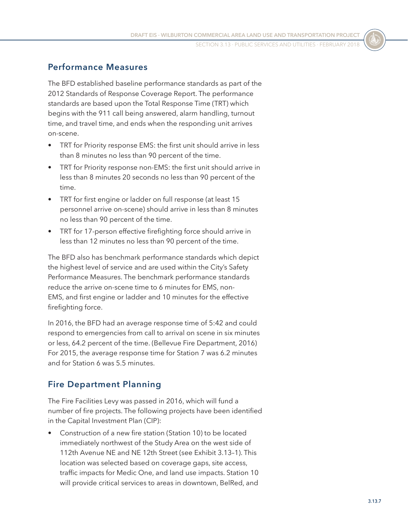### **Performance Measures**

The BFD established baseline performance standards as part of the 2012 Standards of Response Coverage Report. The performance standards are based upon the Total Response Time (TRT) which begins with the 911 call being answered, alarm handling, turnout time, and travel time, and ends when the responding unit arrives on-scene.

- TRT for Priority response EMS: the first unit should arrive in less than 8 minutes no less than 90 percent of the time.
- TRT for Priority response non-EMS: the first unit should arrive in less than 8 minutes 20 seconds no less than 90 percent of the time.
- TRT for first engine or ladder on full response (at least 15 personnel arrive on-scene) should arrive in less than 8 minutes no less than 90 percent of the time.
- TRT for 17-person effective firefighting force should arrive in less than 12 minutes no less than 90 percent of the time.

The BFD also has benchmark performance standards which depict the highest level of service and are used within the City's Safety Performance Measures. The benchmark performance standards reduce the arrive on-scene time to 6 minutes for EMS, non-EMS, and first engine or ladder and 10 minutes for the effective firefighting force.

In 2016, the BFD had an average response time of 5:42 and could respond to emergencies from call to arrival on scene in six minutes or less, 64.2 percent of the time. (Bellevue Fire Department, 2016) For 2015, the average response time for Station 7 was 6.2 minutes and for Station 6 was 5.5 minutes.

### **Fire Department Planning**

The Fire Facilities Levy was passed in 2016, which will fund a number of fire projects. The following projects have been identified in the Capital Investment Plan (CIP):

• Construction of a new fire station (Station 10) to be located immediately northwest of the Study Area on the west side of 112th Avenue NE and NE 12th Street (see [Exhibit 3.13–1](#page-2-0)). This location was selected based on coverage gaps, site access, traffic impacts for Medic One, and land use impacts. Station 10 will provide critical services to areas in downtown, BelRed, and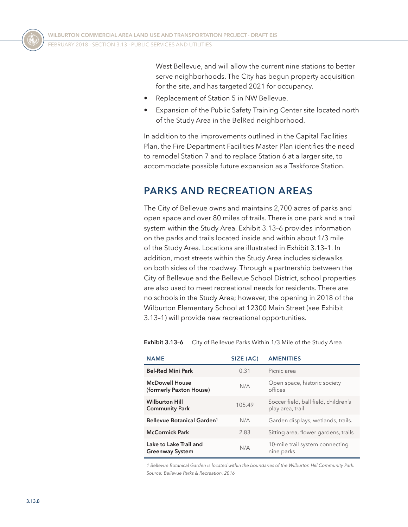West Bellevue, and will allow the current nine stations to better serve neighborhoods. The City has begun property acquisition for the site, and has targeted 2021 for occupancy.

- Replacement of Station 5 in NW Bellevue.
- Expansion of the Public Safety Training Center site located north of the Study Area in the BelRed neighborhood.

In addition to the improvements outlined in the Capital Facilities Plan, the Fire Department Facilities Master Plan identifies the need to remodel Station 7 and to replace Station 6 at a larger site, to accommodate possible future expansion as a Taskforce Station.

### **PARKS AND RECREATION AREAS**

The City of Bellevue owns and maintains 2,700 acres of parks and open space and over 80 miles of trails. There is one park and a trail system within the Study Area. [Exhibit 3.13–6](#page-7-0) provides information on the parks and trails located inside and within about 1/3 mile of the Study Area. Locations are illustrated in [Exhibit 3.13–1](#page-2-0). In addition, most streets within the Study Area includes sidewalks on both sides of the roadway. Through a partnership between the City of Bellevue and the Bellevue School District, school properties are also used to meet recreational needs for residents. There are no schools in the Study Area; however, the opening in 2018 of the Wilburton Elementary School at 12300 Main Street (see [Exhibit](#page-2-0)  [3.13–1](#page-2-0)) will provide new recreational opportunities.

| <b>NAME</b>                                      | SIZE (AC) | <b>AMENITIES</b>                                         |
|--------------------------------------------------|-----------|----------------------------------------------------------|
| <b>Bel-Red Mini Park</b>                         | 0.31      | Picnic area                                              |
| <b>McDowell House</b><br>(formerly Paxton House) | N/A       | Open space, historic society<br>offices                  |
| <b>Wilburton Hill</b><br><b>Community Park</b>   | 105.49    | Soccer field, ball field, children's<br>play area, trail |
| Bellevue Botanical Garden <sup>1</sup>           | N/A       | Garden displays, wetlands, trails.                       |
| <b>McCormick Park</b>                            | 2.83      | Sitting area, flower gardens, trails                     |
| Lake to Lake Trail and<br><b>Greenway System</b> | N/A       | 10-mile trail system connecting<br>nine parks            |

<span id="page-7-0"></span>**Exhibit 3.13–6** City of Bellevue Parks Within 1/3 Mile of the Study Area

*1 Bellevue Botanical Garden is located within the boundaries of the Wilburton Hill Community Park. Source: Bellevue Parks & Recreation, 2016*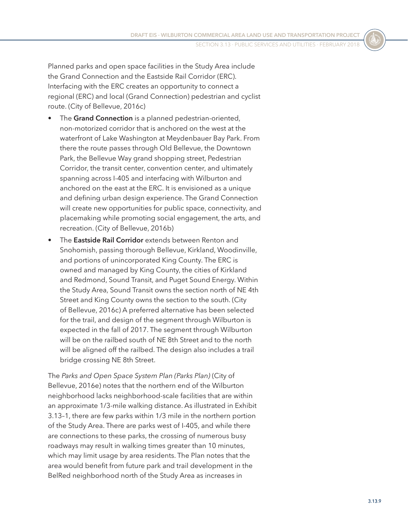Planned parks and open space facilities in the Study Area include the Grand Connection and the Eastside Rail Corridor (ERC). Interfacing with the ERC creates an opportunity to connect a regional (ERC) and local (Grand Connection) pedestrian and cyclist route. (City of Bellevue, 2016c)

- The **Grand Connection** is a planned pedestrian-oriented, non-motorized corridor that is anchored on the west at the waterfront of Lake Washington at Meydenbauer Bay Park. From there the route passes through Old Bellevue, the Downtown Park, the Bellevue Way grand shopping street, Pedestrian Corridor, the transit center, convention center, and ultimately spanning across I-405 and interfacing with Wilburton and anchored on the east at the ERC. It is envisioned as a unique and defining urban design experience. The Grand Connection will create new opportunities for public space, connectivity, and placemaking while promoting social engagement, the arts, and recreation. (City of Bellevue, 2016b)
- The **Eastside Rail Corridor** extends between Renton and Snohomish, passing thorough Bellevue, Kirkland, Woodinville, and portions of unincorporated King County. The ERC is owned and managed by King County, the cities of Kirkland and Redmond, Sound Transit, and Puget Sound Energy. Within the Study Area, Sound Transit owns the section north of NE 4th Street and King County owns the section to the south. (City of Bellevue, 2016c) A preferred alternative has been selected for the trail, and design of the segment through Wilburton is expected in the fall of 2017. The segment through Wilburton will be on the railbed south of NE 8th Street and to the north will be aligned off the railbed. The design also includes a trail bridge crossing NE 8th Street.

The *Parks and Open Space System Plan (Parks Plan)* (City of Bellevue, 2016e) notes that the northern end of the Wilburton neighborhood lacks neighborhood-scale facilities that are within an approximate 1/3-mile walking distance. As illustrated in [Exhibit](#page-2-0)  [3.13–1](#page-2-0), there are few parks within 1/3 mile in the northern portion of the Study Area. There are parks west of I-405, and while there are connections to these parks, the crossing of numerous busy roadways may result in walking times greater than 10 minutes, which may limit usage by area residents. The Plan notes that the area would benefit from future park and trail development in the BelRed neighborhood north of the Study Area as increases in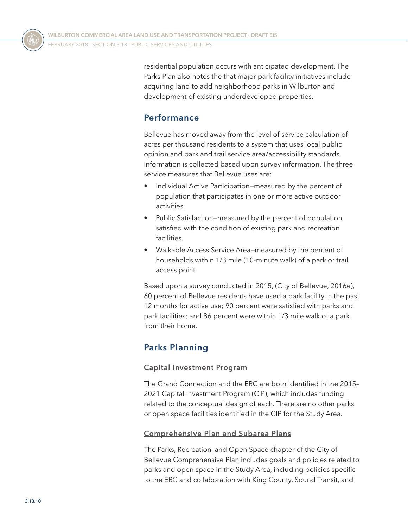residential population occurs with anticipated development. The Parks Plan also notes the that major park facility initiatives include acquiring land to add neighborhood parks in Wilburton and development of existing underdeveloped properties.

### **Performance**

Bellevue has moved away from the level of service calculation of acres per thousand residents to a system that uses local public opinion and park and trail service area/accessibility standards. Information is collected based upon survey information. The three service measures that Bellevue uses are:

- Individual Active Participation—measured by the percent of population that participates in one or more active outdoor activities.
- Public Satisfaction—measured by the percent of population satisfied with the condition of existing park and recreation facilities.
- Walkable Access Service Area—measured by the percent of households within 1/3 mile (10-minute walk) of a park or trail access point.

Based upon a survey conducted in 2015, (City of Bellevue, 2016e), 60 percent of Bellevue residents have used a park facility in the past 12 months for active use; 90 percent were satisfied with parks and park facilities; and 86 percent were within 1/3 mile walk of a park from their home.

### **Parks Planning**

#### **Capital Investment Program**

The Grand Connection and the ERC are both identified in the 2015– 2021 Capital Investment Program (CIP), which includes funding related to the conceptual design of each. There are no other parks or open space facilities identified in the CIP for the Study Area.

#### **Comprehensive Plan and Subarea Plans**

The Parks, Recreation, and Open Space chapter of the City of Bellevue Comprehensive Plan includes goals and policies related to parks and open space in the Study Area, including policies specific to the ERC and collaboration with King County, Sound Transit, and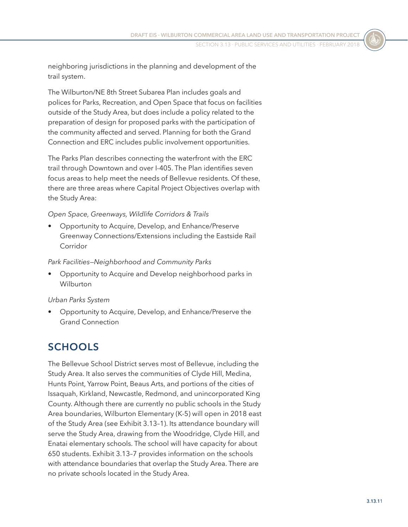neighboring jurisdictions in the planning and development of the trail system.

The Wilburton/NE 8th Street Subarea Plan includes goals and polices for Parks, Recreation, and Open Space that focus on facilities outside of the Study Area, but does include a policy related to the preparation of design for proposed parks with the participation of the community affected and served. Planning for both the Grand Connection and ERC includes public involvement opportunities.

The Parks Plan describes connecting the waterfront with the ERC trail through Downtown and over I-405. The Plan identifies seven focus areas to help meet the needs of Bellevue residents. Of these, there are three areas where Capital Project Objectives overlap with the Study Area:

#### *Open Space, Greenways, Wildlife Corridors & Trails*

• Opportunity to Acquire, Develop, and Enhance/Preserve Greenway Connections/Extensions including the Eastside Rail Corridor

#### *Park Facilities—Neighborhood and Community Parks*

• Opportunity to Acquire and Develop neighborhood parks in Wilburton

#### *Urban Parks System*

• Opportunity to Acquire, Develop, and Enhance/Preserve the Grand Connection

### **SCHOOLS**

The Bellevue School District serves most of Bellevue, including the Study Area. It also serves the communities of Clyde Hill, Medina, Hunts Point, Yarrow Point, Beaus Arts, and portions of the cities of Issaquah, Kirkland, Newcastle, Redmond, and unincorporated King County. Although there are currently no public schools in the Study Area boundaries, Wilburton Elementary (K-5) will open in 2018 east of the Study Area (see [Exhibit 3.13–1](#page-2-0)). Its attendance boundary will serve the Study Area, drawing from the Woodridge, Clyde Hill, and Enatai elementary schools. The school will have capacity for about 650 students. [Exhibit 3.13–7](#page-11-0) provides information on the schools with attendance boundaries that overlap the Study Area. There are no private schools located in the Study Area.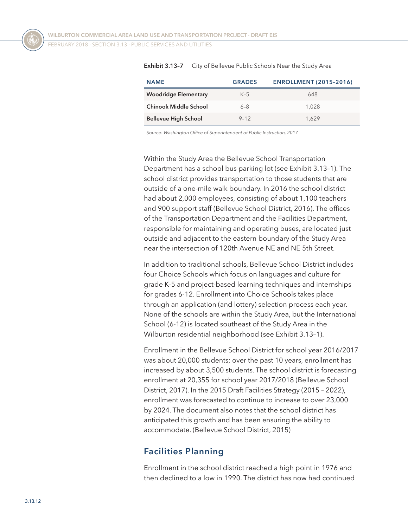<span id="page-11-0"></span>

| <b>NAME</b>                  | <b>GRADES</b> | <b>ENROLLMENT (2015-2016)</b> |
|------------------------------|---------------|-------------------------------|
| <b>Woodridge Elementary</b>  | $K-5$         | 648                           |
| <b>Chinook Middle School</b> | $6 - 8$       | 1.028                         |
| <b>Bellevue High School</b>  | $9 - 12$      | 1.629                         |

**Exhibit 3.13–7** City of Bellevue Public Schools Near the Study Area

*Source: Washington Office of Superintendent of Public Instruction, 2017*

Within the Study Area the Bellevue School Transportation Department has a school bus parking lot (see [Exhibit 3.13–1](#page-2-0)). The school district provides transportation to those students that are outside of a one-mile walk boundary. In 2016 the school district had about 2,000 employees, consisting of about 1,100 teachers and 900 support staff (Bellevue School District, 2016). The offices of the Transportation Department and the Facilities Department, responsible for maintaining and operating buses, are located just outside and adjacent to the eastern boundary of the Study Area near the intersection of 120th Avenue NE and NE 5th Street.

In addition to traditional schools, Bellevue School District includes four Choice Schools which focus on languages and culture for grade K-5 and project-based learning techniques and internships for grades 6-12. Enrollment into Choice Schools takes place through an application (and lottery) selection process each year. None of the schools are within the Study Area, but the International School (6-12) is located southeast of the Study Area in the Wilburton residential neighborhood (see [Exhibit 3.13–1](#page-2-0)).

Enrollment in the Bellevue School District for school year 2016/2017 was about 20,000 students; over the past 10 years, enrollment has increased by about 3,500 students. The school district is forecasting enrollment at 20,355 for school year 2017/2018 (Bellevue School District, 2017). In the 2015 Draft Facilities Strategy (2015 – 2022), enrollment was forecasted to continue to increase to over 23,000 by 2024. The document also notes that the school district has anticipated this growth and has been ensuring the ability to accommodate. (Bellevue School District, 2015)

### **Facilities Planning**

Enrollment in the school district reached a high point in 1976 and then declined to a low in 1990. The district has now had continued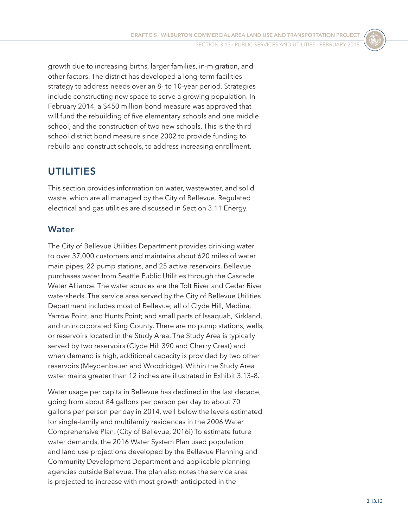growth due to increasing births, larger families, in-migration, and other factors. The district has developed a long-term facilities strategy to address needs over an 8- to 10-year period. Strategies include constructing new space to serve a growing population. In February 2014, a \$450 million bond measure was approved that will fund the rebuilding of five elementary schools and one middle school, and the construction of two new schools. This is the third school district bond measure since 2002 to provide funding to rebuild and construct schools, to address increasing enrollment.

### **UTILITIES**

This section provides information on water, wastewater, and solid waste, which are all managed by the City of Bellevue. Regulated electrical and gas utilities are discussed in Section 3.11 Energy.

### **Water**

The City of Bellevue Utilities Department provides drinking water to over 37,000 customers and maintains about 620 miles of water main pipes, 22 pump stations, and 25 active reservoirs. Bellevue purchases water from Seattle Public Utilities through the Cascade Water Alliance. The water sources are the Tolt River and Cedar River watersheds. The service area served by the City of Bellevue Utilities Department includes most of Bellevue; all of Clyde Hill, Medina, Yarrow Point, and Hunts Point; and small parts of Issaquah, Kirkland, and unincorporated King County. There are no pump stations, wells, or reservoirs located in the Study Area. The Study Area is typically served by two reservoirs (Clyde Hill 390 and Cherry Crest) and when demand is high, additional capacity is provided by two other reservoirs (Meydenbauer and Woodridge). Within the Study Area water mains greater than 12 inches are illustrated in [Exhibit 3.13–8.](#page-13-0)

Water usage per capita in Bellevue has declined in the last decade, going from about 84 gallons per person per day to about 70 gallons per person per day in 2014, well below the levels estimated for single-family and multifamily residences in the 2006 Water Comprehensive Plan. (City of Bellevue, 2016i) To estimate future water demands, the 2016 Water System Plan used population and land use projections developed by the Bellevue Planning and Community Development Department and applicable planning agencies outside Bellevue. The plan also notes the service area is projected to increase with most growth anticipated in the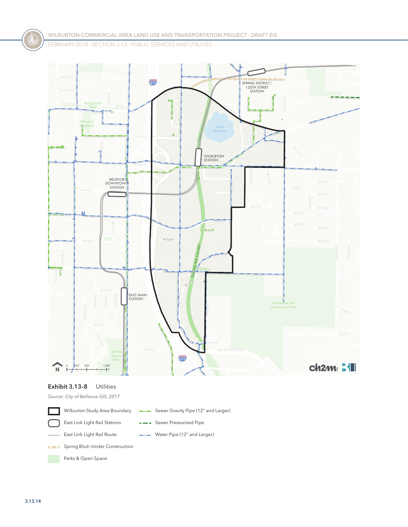Ľ 405 --SPRING DISTRICT/ 120TH STREET STATION 120TH AVE NE 11<br>NE 11<br>NE 11 ß **McCormick** NE 12TH ST NE 12TH ST  $P \rightarrow P$ BELLEVUE REDMOND RD 116TH AVENUE **Movfield** Pl<mark>a</mark>yfield Lake **Playfield** Lake Bellevue 108TH AVE NE 1<br>T 110TH AVE NE œ a. 哩 WILBURTON STATION نع.. tion.<br>The control NE 8TH ST 123RD AVE NE BELLEVUE <mark>(U</mark><br>DOWNTOWN<br>STATION 120TH AVE NE 4TH ST 1<br>T NE 4TH ST . . . . NE 2ND PL NE 2ND S Eastside Rail Corridor **NE 1ST ST** T MAIN ST  $\mathbb{R}$ MAIN ST SE 1 ST ST 1<br>T<br>F<br>F<br>F 116TH AVE SE EAST MAIN STATION Wilburton Hill Community Park 11<br>T ï. Surrey Ĭ  $\frac{1}{405}$ Downs Park Ħ **ch2m: 311** 0 250 500 1,000<br><del>decident to the f</del>t  $N$  $\ddot{}$ 

#### <span id="page-13-0"></span>**Exhibit 3.13–8** Utilities

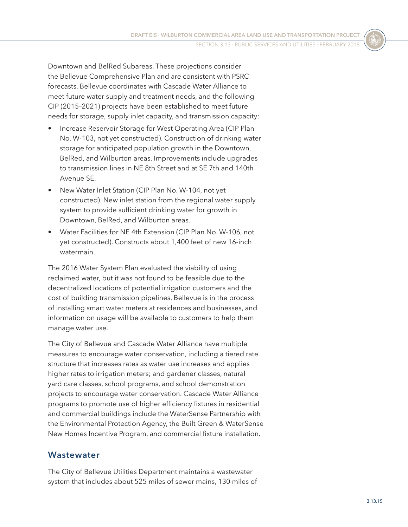Downtown and BelRed Subareas. These projections consider the Bellevue Comprehensive Plan and are consistent with PSRC forecasts. Bellevue coordinates with Cascade Water Alliance to meet future water supply and treatment needs, and the following CIP (2015–2021) projects have been established to meet future needs for storage, supply inlet capacity, and transmission capacity:

- Increase Reservoir Storage for West Operating Area (CIP Plan No. W-103, not yet constructed). Construction of drinking water storage for anticipated population growth in the Downtown, BelRed, and Wilburton areas. Improvements include upgrades to transmission lines in NE 8th Street and at SE 7th and 140th Avenue SE.
- New Water Inlet Station (CIP Plan No. W-104, not yet constructed). New inlet station from the regional water supply system to provide sufficient drinking water for growth in Downtown, BelRed, and Wilburton areas.
- Water Facilities for NE 4th Extension (CIP Plan No. W-106, not yet constructed). Constructs about 1,400 feet of new 16-inch watermain.

The 2016 Water System Plan evaluated the viability of using reclaimed water, but it was not found to be feasible due to the decentralized locations of potential irrigation customers and the cost of building transmission pipelines. Bellevue is in the process of installing smart water meters at residences and businesses, and information on usage will be available to customers to help them manage water use.

The City of Bellevue and Cascade Water Alliance have multiple measures to encourage water conservation, including a tiered rate structure that increases rates as water use increases and applies higher rates to irrigation meters; and gardener classes, natural yard care classes, school programs, and school demonstration projects to encourage water conservation. Cascade Water Alliance programs to promote use of higher efficiency fixtures in residential and commercial buildings include the WaterSense Partnership with the Environmental Protection Agency, the Built Green & WaterSense New Homes Incentive Program, and commercial fixture installation.

#### **Wastewater**

The City of Bellevue Utilities Department maintains a wastewater system that includes about 525 miles of sewer mains, 130 miles of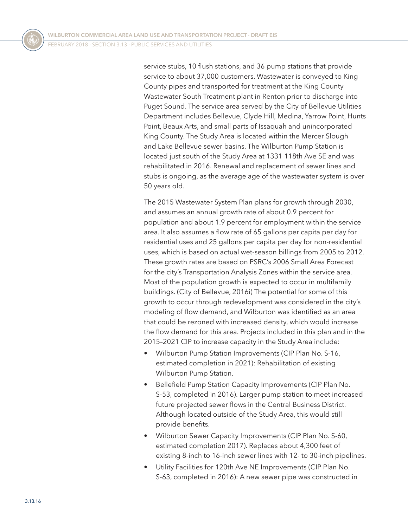service stubs, 10 flush stations, and 36 pump stations that provide service to about 37,000 customers. Wastewater is conveyed to King County pipes and transported for treatment at the King County Wastewater South Treatment plant in Renton prior to discharge into Puget Sound. The service area served by the City of Bellevue Utilities Department includes Bellevue, Clyde Hill, Medina, Yarrow Point, Hunts Point, Beaux Arts, and small parts of Issaquah and unincorporated King County. The Study Area is located within the Mercer Slough and Lake Bellevue sewer basins. The Wilburton Pump Station is located just south of the Study Area at 1331 118th Ave SE and was rehabilitated in 2016. Renewal and replacement of sewer lines and stubs is ongoing, as the average age of the wastewater system is over 50 years old.

The 2015 Wastewater System Plan plans for growth through 2030, and assumes an annual growth rate of about 0.9 percent for population and about 1.9 percent for employment within the service area. It also assumes a flow rate of 65 gallons per capita per day for residential uses and 25 gallons per capita per day for non-residential uses, which is based on actual wet-season billings from 2005 to 2012. These growth rates are based on PSRC's 2006 Small Area Forecast for the city's Transportation Analysis Zones within the service area. Most of the population growth is expected to occur in multifamily buildings. (City of Bellevue, 2016i) The potential for some of this growth to occur through redevelopment was considered in the city's modeling of flow demand, and Wilburton was identified as an area that could be rezoned with increased density, which would increase the flow demand for this area. Projects included in this plan and in the 2015–2021 CIP to increase capacity in the Study Area include:

- Wilburton Pump Station Improvements (CIP Plan No. S-16, estimated completion in 2021): Rehabilitation of existing Wilburton Pump Station.
- Bellefield Pump Station Capacity Improvements (CIP Plan No. S-53, completed in 2016). Larger pump station to meet increased future projected sewer flows in the Central Business District. Although located outside of the Study Area, this would still provide benefits.
- Wilburton Sewer Capacity Improvements (CIP Plan No. S-60, estimated completion 2017). Replaces about 4,300 feet of existing 8-inch to 16-inch sewer lines with 12- to 30-inch pipelines.
- Utility Facilities for 120th Ave NE Improvements (CIP Plan No. S-63, completed in 2016): A new sewer pipe was constructed in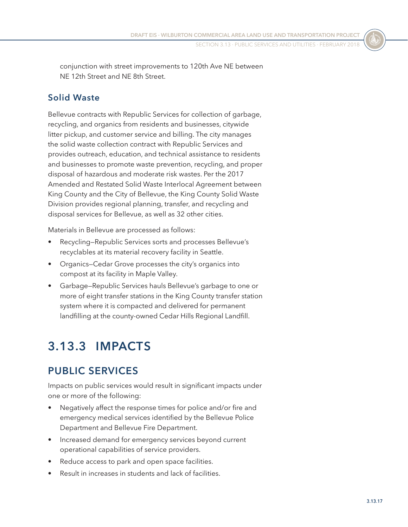conjunction with street improvements to 120th Ave NE between NE 12th Street and NE 8th Street.

### **Solid Waste**

Bellevue contracts with Republic Services for collection of garbage, recycling, and organics from residents and businesses, citywide litter pickup, and customer service and billing. The city manages the solid waste collection contract with Republic Services and provides outreach, education, and technical assistance to residents and businesses to promote waste prevention, recycling, and proper disposal of hazardous and moderate risk wastes. Per the 2017 Amended and Restated Solid Waste Interlocal Agreement between King County and the City of Bellevue, the King County Solid Waste Division provides regional planning, transfer, and recycling and disposal services for Bellevue, as well as 32 other cities.

Materials in Bellevue are processed as follows:

- Recycling—Republic Services sorts and processes Bellevue's recyclables at its material recovery facility in Seattle.
- Organics—Cedar Grove processes the city's organics into compost at its facility in Maple Valley.
- Garbage—Republic Services hauls Bellevue's garbage to one or more of eight transfer stations in the King County transfer station system where it is compacted and delivered for permanent landfilling at the county-owned Cedar Hills Regional Landfill.

# **3.13.3 IMPACTS**

### **PUBLIC SERVICES**

Impacts on public services would result in significant impacts under one or more of the following:

- Negatively affect the response times for police and/or fire and emergency medical services identified by the Bellevue Police Department and Bellevue Fire Department.
- Increased demand for emergency services beyond current operational capabilities of service providers.
- Reduce access to park and open space facilities.
- Result in increases in students and lack of facilities.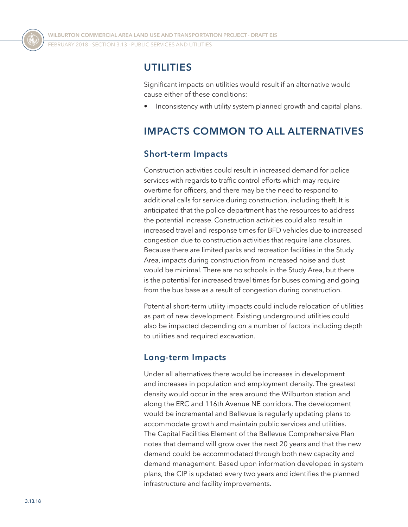### **UTILITIES**

Significant impacts on utilities would result if an alternative would cause either of these conditions:

• Inconsistency with utility system planned growth and capital plans.

### **IMPACTS COMMON TO ALL ALTERNATIVES**

### **Short-term Impacts**

Construction activities could result in increased demand for police services with regards to traffic control efforts which may require overtime for officers, and there may be the need to respond to additional calls for service during construction, including theft. It is anticipated that the police department has the resources to address the potential increase. Construction activities could also result in increased travel and response times for BFD vehicles due to increased congestion due to construction activities that require lane closures. Because there are limited parks and recreation facilities in the Study Area, impacts during construction from increased noise and dust would be minimal. There are no schools in the Study Area, but there is the potential for increased travel times for buses coming and going from the bus base as a result of congestion during construction.

Potential short-term utility impacts could include relocation of utilities as part of new development. Existing underground utilities could also be impacted depending on a number of factors including depth to utilities and required excavation.

### **Long-term Impacts**

Under all alternatives there would be increases in development and increases in population and employment density. The greatest density would occur in the area around the Wilburton station and along the ERC and 116th Avenue NE corridors. The development would be incremental and Bellevue is regularly updating plans to accommodate growth and maintain public services and utilities. The Capital Facilities Element of the Bellevue Comprehensive Plan notes that demand will grow over the next 20 years and that the new demand could be accommodated through both new capacity and demand management. Based upon information developed in system plans, the CIP is updated every two years and identifies the planned infrastructure and facility improvements.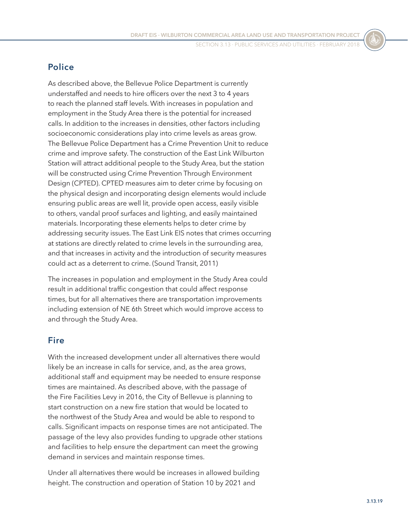### **Police**

As described above, the Bellevue Police Department is currently understaffed and needs to hire officers over the next 3 to 4 years to reach the planned staff levels. With increases in population and employment in the Study Area there is the potential for increased calls. In addition to the increases in densities, other factors including socioeconomic considerations play into crime levels as areas grow. The Bellevue Police Department has a Crime Prevention Unit to reduce crime and improve safety. The construction of the East Link Wilburton Station will attract additional people to the Study Area, but the station will be constructed using Crime Prevention Through Environment Design (CPTED). CPTED measures aim to deter crime by focusing on the physical design and incorporating design elements would include ensuring public areas are well lit, provide open access, easily visible to others, vandal proof surfaces and lighting, and easily maintained materials. Incorporating these elements helps to deter crime by addressing security issues. The East Link EIS notes that crimes occurring at stations are directly related to crime levels in the surrounding area, and that increases in activity and the introduction of security measures could act as a deterrent to crime. (Sound Transit, 2011)

The increases in population and employment in the Study Area could result in additional traffic congestion that could affect response times, but for all alternatives there are transportation improvements including extension of NE 6th Street which would improve access to and through the Study Area.

### **Fire**

With the increased development under all alternatives there would likely be an increase in calls for service, and, as the area grows, additional staff and equipment may be needed to ensure response times are maintained. As described above, with the passage of the Fire Facilities Levy in 2016, the City of Bellevue is planning to start construction on a new fire station that would be located to the northwest of the Study Area and would be able to respond to calls. Significant impacts on response times are not anticipated. The passage of the levy also provides funding to upgrade other stations and facilities to help ensure the department can meet the growing demand in services and maintain response times.

Under all alternatives there would be increases in allowed building height. The construction and operation of Station 10 by 2021 and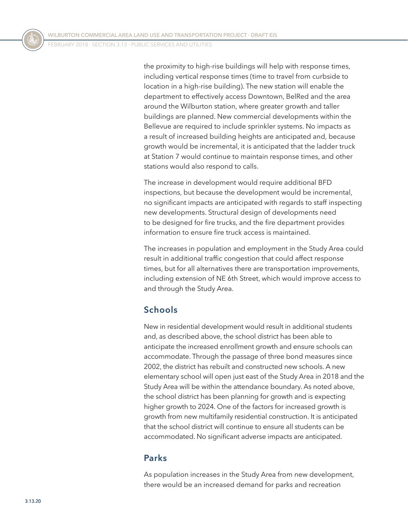the proximity to high-rise buildings will help with response times, including vertical response times (time to travel from curbside to location in a high-rise building). The new station will enable the department to effectively access Downtown, BelRed and the area around the Wilburton station, where greater growth and taller buildings are planned. New commercial developments within the Bellevue are required to include sprinkler systems. No impacts as a result of increased building heights are anticipated and, because growth would be incremental, it is anticipated that the ladder truck at Station 7 would continue to maintain response times, and other stations would also respond to calls.

The increase in development would require additional BFD inspections, but because the development would be incremental, no significant impacts are anticipated with regards to staff inspecting new developments. Structural design of developments need to be designed for fire trucks, and the fire department provides information to ensure fire truck access is maintained.

The increases in population and employment in the Study Area could result in additional traffic congestion that could affect response times, but for all alternatives there are transportation improvements, including extension of NE 6th Street, which would improve access to and through the Study Area.

### **Schools**

New in residential development would result in additional students and, as described above, the school district has been able to anticipate the increased enrollment growth and ensure schools can accommodate. Through the passage of three bond measures since 2002, the district has rebuilt and constructed new schools. A new elementary school will open just east of the Study Area in 2018 and the Study Area will be within the attendance boundary. As noted above, the school district has been planning for growth and is expecting higher growth to 2024. One of the factors for increased growth is growth from new multifamily residential construction. It is anticipated that the school district will continue to ensure all students can be accommodated. No significant adverse impacts are anticipated.

### **Parks**

As population increases in the Study Area from new development, there would be an increased demand for parks and recreation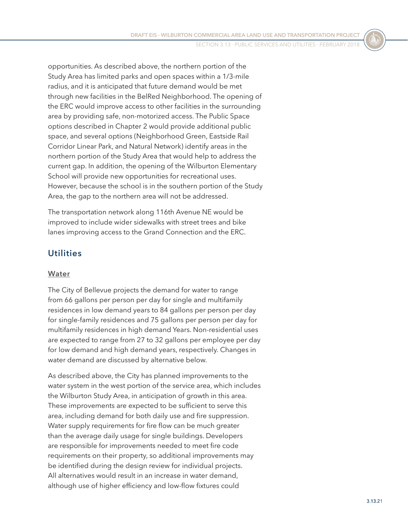opportunities. As described above, the northern portion of the Study Area has limited parks and open spaces within a 1/3-mile radius, and it is anticipated that future demand would be met through new facilities in the BelRed Neighborhood. The opening of the ERC would improve access to other facilities in the surrounding area by providing safe, non-motorized access. The Public Space options described in Chapter 2 would provide additional public space, and several options (Neighborhood Green, Eastside Rail Corridor Linear Park, and Natural Network) identify areas in the northern portion of the Study Area that would help to address the current gap. In addition, the opening of the Wilburton Elementary School will provide new opportunities for recreational uses. However, because the school is in the southern portion of the Study Area, the gap to the northern area will not be addressed.

The transportation network along 116th Avenue NE would be improved to include wider sidewalks with street trees and bike lanes improving access to the Grand Connection and the ERC.

### **Utilities**

#### **Water**

The City of Bellevue projects the demand for water to range from 66 gallons per person per day for single and multifamily residences in low demand years to 84 gallons per person per day for single-family residences and 75 gallons per person per day for multifamily residences in high demand Years. Non-residential uses are expected to range from 27 to 32 gallons per employee per day for low demand and high demand years, respectively. Changes in water demand are discussed by alternative below.

As described above, the City has planned improvements to the water system in the west portion of the service area, which includes the Wilburton Study Area, in anticipation of growth in this area. These improvements are expected to be sufficient to serve this area, including demand for both daily use and fire suppression. Water supply requirements for fire flow can be much greater than the average daily usage for single buildings. Developers are responsible for improvements needed to meet fire code requirements on their property, so additional improvements may be identified during the design review for individual projects. All alternatives would result in an increase in water demand, although use of higher efficiency and low-flow fixtures could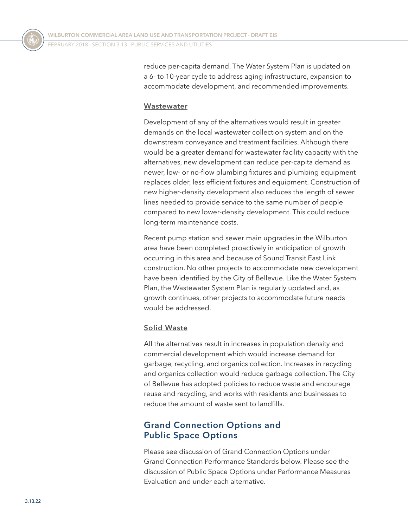reduce per-capita demand. The Water System Plan is updated on a 6- to 10-year cycle to address aging infrastructure, expansion to accommodate development, and recommended improvements.

#### **Wastewater**

Development of any of the alternatives would result in greater demands on the local wastewater collection system and on the downstream conveyance and treatment facilities. Although there would be a greater demand for wastewater facility capacity with the alternatives, new development can reduce per-capita demand as newer, low- or no-flow plumbing fixtures and plumbing equipment replaces older, less efficient fixtures and equipment. Construction of new higher-density development also reduces the length of sewer lines needed to provide service to the same number of people compared to new lower-density development. This could reduce long-term maintenance costs.

Recent pump station and sewer main upgrades in the Wilburton area have been completed proactively in anticipation of growth occurring in this area and because of Sound Transit East Link construction. No other projects to accommodate new development have been identified by the City of Bellevue. Like the Water System Plan, the Wastewater System Plan is regularly updated and, as growth continues, other projects to accommodate future needs would be addressed.

#### **Solid Waste**

All the alternatives result in increases in population density and commercial development which would increase demand for garbage, recycling, and organics collection. Increases in recycling and organics collection would reduce garbage collection. The City of Bellevue has adopted policies to reduce waste and encourage reuse and recycling, and works with residents and businesses to reduce the amount of waste sent to landfills.

### **Grand Connection Options and Public Space Options**

Please see discussion of Grand Connection Options under Grand Connection Performance Standards below. Please see the discussion of Public Space Options under Performance Measures Evaluation and under each alternative.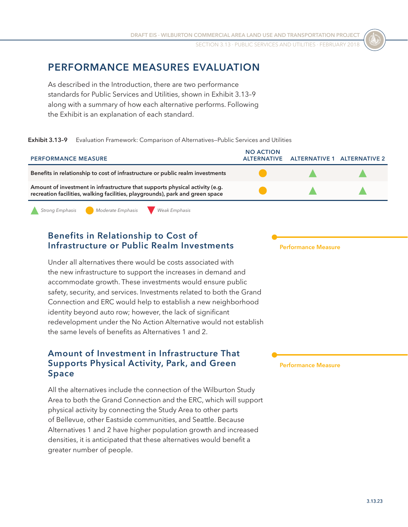### **PERFORMANCE MEASURES EVALUATION**

As described in the Introduction, there are two performance standards for Public Services and Utilities, shown in [Exhibit 3.13–9](#page-22-0) along with a summary of how each alternative performs. Following the Exhibit is an explanation of each standard.

**Exhibit 3.13–9** Evaluation Framework: Comparison of Alternatives—Public Services and Utilities

| <b>PERFORMANCE MEASURE</b>                                                                                                                                    | <b>NO ACTION</b><br><b>ALTERNATIVE</b> | ALTERNATIVE 1 ALTERNATIVE 2 |  |
|---------------------------------------------------------------------------------------------------------------------------------------------------------------|----------------------------------------|-----------------------------|--|
| Benefits in relationship to cost of infrastructure or public realm investments                                                                                |                                        |                             |  |
| Amount of investment in infrastructure that supports physical activity (e.g.<br>recreation facilities, walking facilities, playgrounds), park and green space |                                        |                             |  |

<span id="page-22-0"></span>

*Strong Emphasis Moderate Emphasis Weak Emphasis*

### **Benefits in Relationship to Cost of Infrastructure or Public Realm Investments**

Under all alternatives there would be costs associated with the new infrastructure to support the increases in demand and accommodate growth. These investments would ensure public safety, security, and services. Investments related to both the Grand Connection and ERC would help to establish a new neighborhood identity beyond auto row; however, the lack of significant redevelopment under the No Action Alternative would not establish the same levels of benefits as Alternatives 1 and 2.

#### **Amount of Investment in Infrastructure That Supports Physical Activity, Park, and Green Space**

All the alternatives include the connection of the Wilburton Study Area to both the Grand Connection and the ERC, which will support physical activity by connecting the Study Area to other parts of Bellevue, other Eastside communities, and Seattle. Because Alternatives 1 and 2 have higher population growth and increased densities, it is anticipated that these alternatives would benefit a greater number of people.

**Performance Measure**

#### **Performance Measure**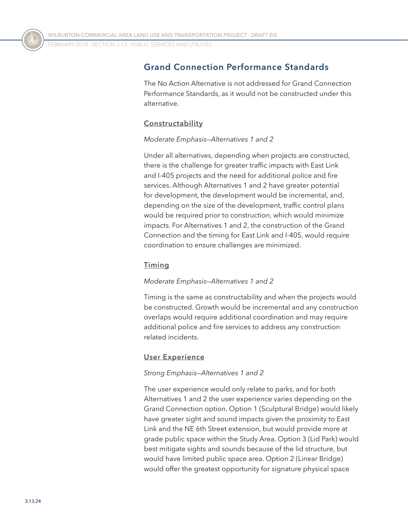### **Grand Connection Performance Standards**

The No Action Alternative is not addressed for Grand Connection Performance Standards, as it would not be constructed under this alternative.

#### **Constructability**

#### *Moderate Emphasis—Alternatives 1 and 2*

Under all alternatives, depending when projects are constructed, there is the challenge for greater traffic impacts with East Link and I-405 projects and the need for additional police and fire services. Although Alternatives 1 and 2 have greater potential for development, the development would be incremental, and, depending on the size of the development, traffic control plans would be required prior to construction, which would minimize impacts. For Alternatives 1 and 2, the construction of the Grand Connection and the timing for East Link and I-405, would require coordination to ensure challenges are minimized.

#### **Timing**

#### *Moderate Emphasis—Alternatives 1 and 2*

Timing is the same as constructability and when the projects would be constructed. Growth would be incremental and any construction overlaps would require additional coordination and may require additional police and fire services to address any construction related incidents.

#### **User Experience**

#### *Strong Emphasis—Alternatives 1 and 2*

The user experience would only relate to parks, and for both Alternatives 1 and 2 the user experience varies depending on the Grand Connection option. Option 1 (Sculptural Bridge) would likely have greater sight and sound impacts given the proximity to East Link and the NE 6th Street extension, but would provide more at grade public space within the Study Area. Option 3 (Lid Park) would best mitigate sights and sounds because of the lid structure, but would have limited public space area. Option 2 (Linear Bridge) would offer the greatest opportunity for signature physical space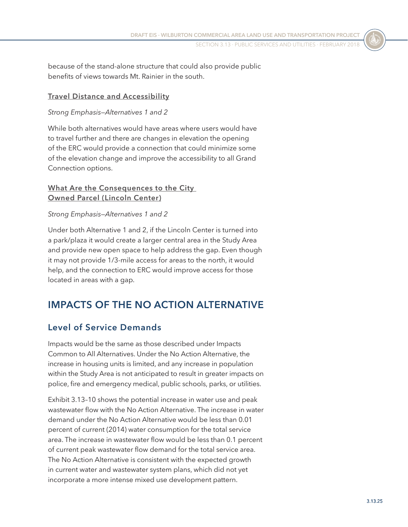because of the stand-alone structure that could also provide public benefits of views towards Mt. Rainier in the south.

#### **Travel Distance and Accessibility**

#### *Strong Emphasis—Alternatives 1 and 2*

While both alternatives would have areas where users would have to travel further and there are changes in elevation the opening of the ERC would provide a connection that could minimize some of the elevation change and improve the accessibility to all Grand Connection options.

#### **What Are the Consequences to the City Owned Parcel (Lincoln Center)**

#### *Strong Emphasis—Alternatives 1 and 2*

Under both Alternative 1 and 2, if the Lincoln Center is turned into a park/plaza it would create a larger central area in the Study Area and provide new open space to help address the gap. Even though it may not provide 1/3-mile access for areas to the north, it would help, and the connection to ERC would improve access for those located in areas with a gap.

### **IMPACTS OF THE NO ACTION ALTERNATIVE**

### **Level of Service Demands**

Impacts would be the same as those described under Impacts Common to All Alternatives. Under the No Action Alternative, the increase in housing units is limited, and any increase in population within the Study Area is not anticipated to result in greater impacts on police, fire and emergency medical, public schools, parks, or utilities.

[Exhibit 3.13–10](#page-25-0) shows the potential increase in water use and peak wastewater flow with the No Action Alternative. The increase in water demand under the No Action Alternative would be less than 0.01 percent of current (2014) water consumption for the total service area. The increase in wastewater flow would be less than 0.1 percent of current peak wastewater flow demand for the total service area. The No Action Alternative is consistent with the expected growth in current water and wastewater system plans, which did not yet incorporate a more intense mixed use development pattern.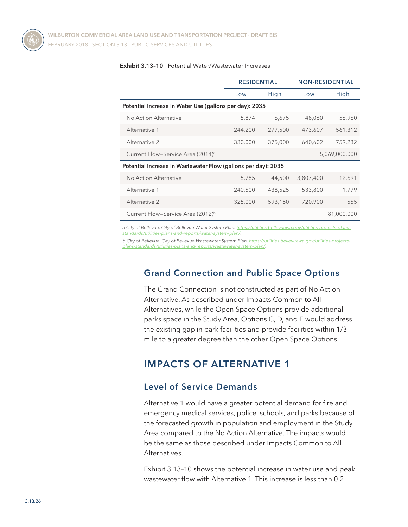FEBRUARY 2018 ⋅ SECTION 3.13 ⋅ Public Services and Utilities

|                                                               | <b>RESIDENTIAL</b> |         | <b>NON-RESIDENTIAL</b> |               |  |
|---------------------------------------------------------------|--------------------|---------|------------------------|---------------|--|
|                                                               | Low                | High    | Low                    | High          |  |
| Potential Increase in Water Use (gallons per day): 2035       |                    |         |                        |               |  |
| No Action Alternative                                         | 5,874              | 6,675   | 48,060                 | 56,960        |  |
| Alternative 1                                                 | 244,200            | 277,500 | 473,607                | 561,312       |  |
| Alternative 2                                                 | 330,000            | 375,000 | 640,602                | 759,232       |  |
| Current Flow-Service Area (2014) <sup>a</sup>                 |                    |         |                        | 5,069,000,000 |  |
| Potential Increase in Wastewater Flow (gallons per day): 2035 |                    |         |                        |               |  |
| No Action Alternative                                         | 5,785              | 44,500  | 3,807,400              | 12,691        |  |
| Alternative 1                                                 | 240,500            | 438,525 | 533,800                | 1,779         |  |
| Alternative 2                                                 | 325,000            | 593,150 | 720,900                | 555           |  |
| Current Flow-Service Area (2012) <sup>b</sup>                 |                    |         |                        | 81,000,000    |  |

#### <span id="page-25-0"></span>**Exhibit 3.13–10** Potential Water/Wastewater Increases

*a City of Bellevue. City of Bellevue Water System Plan. [https://utilities.bellevuewa.gov/utilities-projects-plans](https://utilities.bellevuewa.gov/utilities-projects-plans-standards/utilities-plans-and-reports/water-system-plan/)[standards/utilities-plans-and-reports/water-system-plan/.](https://utilities.bellevuewa.gov/utilities-projects-plans-standards/utilities-plans-and-reports/water-system-plan/)*

*b City of Bellevue. City of Bellevue Wastewater System Plan. [https://utilities.bellevuewa.gov/utilities-projects](https://utilities.bellevuewa.gov/utilities-projects-plans-standards/utilities-plans-and-reports/wastewater-system-plan/)[plans-standards/utilities-plans-and-reports/wastewater-system-plan/](https://utilities.bellevuewa.gov/utilities-projects-plans-standards/utilities-plans-and-reports/wastewater-system-plan/).*

#### **Grand Connection and Public Space Options**

The Grand Connection is not constructed as part of No Action Alternative. As described under Impacts Common to All Alternatives, while the Open Space Options provide additional parks space in the Study Area, Options C, D, and E would address the existing gap in park facilities and provide facilities within 1/3 mile to a greater degree than the other Open Space Options.

### **IMPACTS OF ALTERNATIVE 1**

#### **Level of Service Demands**

Alternative 1 would have a greater potential demand for fire and emergency medical services, police, schools, and parks because of the forecasted growth in population and employment in the Study Area compared to the No Action Alternative. The impacts would be the same as those described under Impacts Common to All Alternatives.

[Exhibit 3.13–10](#page-25-0) shows the potential increase in water use and peak wastewater flow with Alternative 1. This increase is less than 0.2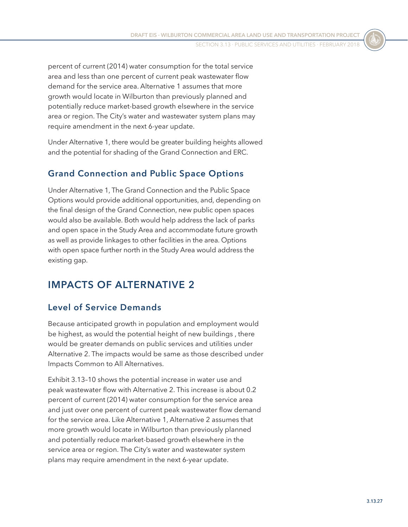percent of current (2014) water consumption for the total service area and less than one percent of current peak wastewater flow demand for the service area. Alternative 1 assumes that more growth would locate in Wilburton than previously planned and potentially reduce market-based growth elsewhere in the service area or region. The City's water and wastewater system plans may require amendment in the next 6-year update.

Under Alternative 1, there would be greater building heights allowed and the potential for shading of the Grand Connection and ERC.

### **Grand Connection and Public Space Options**

Under Alternative 1, The Grand Connection and the Public Space Options would provide additional opportunities, and, depending on the final design of the Grand Connection, new public open spaces would also be available. Both would help address the lack of parks and open space in the Study Area and accommodate future growth as well as provide linkages to other facilities in the area. Options with open space further north in the Study Area would address the existing gap.

### **IMPACTS OF ALTERNATIVE 2**

### **Level of Service Demands**

Because anticipated growth in population and employment would be highest, as would the potential height of new buildings , there would be greater demands on public services and utilities under Alternative 2. The impacts would be same as those described under Impacts Common to All Alternatives.

[Exhibit 3.13–10](#page-25-0) shows the potential increase in water use and peak wastewater flow with Alternative 2. This increase is about 0.2 percent of current (2014) water consumption for the service area and just over one percent of current peak wastewater flow demand for the service area. Like Alternative 1, Alternative 2 assumes that more growth would locate in Wilburton than previously planned and potentially reduce market-based growth elsewhere in the service area or region. The City's water and wastewater system plans may require amendment in the next 6-year update.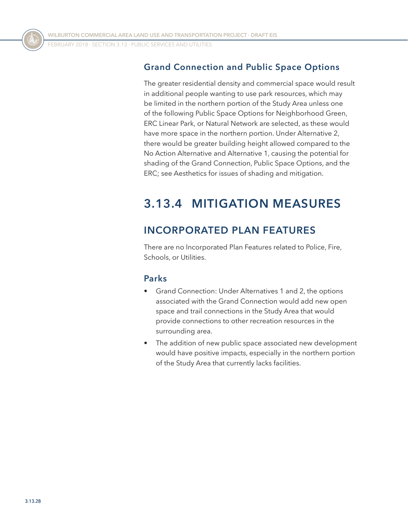### **Grand Connection and Public Space Options**

The greater residential density and commercial space would result in additional people wanting to use park resources, which may be limited in the northern portion of the Study Area unless one of the following Public Space Options for Neighborhood Green, ERC Linear Park, or Natural Network are selected, as these would have more space in the northern portion. Under Alternative 2, there would be greater building height allowed compared to the No Action Alternative and Alternative 1, causing the potential for shading of the Grand Connection, Public Space Options, and the ERC; see Aesthetics for issues of shading and mitigation.

# **3.13.4 MITIGATION MEASURES**

### **INCORPORATED PLAN FEATURES**

There are no Incorporated Plan Features related to Police, Fire, Schools, or Utilities.

### **Parks**

- Grand Connection: Under Alternatives 1 and 2, the options associated with the Grand Connection would add new open space and trail connections in the Study Area that would provide connections to other recreation resources in the surrounding area.
- The addition of new public space associated new development would have positive impacts, especially in the northern portion of the Study Area that currently lacks facilities.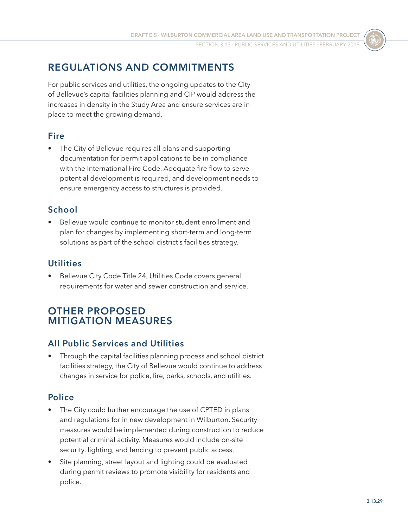### **REGULATIONS AND COMMITMENTS**

For public services and utilities, the ongoing updates to the City of Bellevue's capital facilities planning and CIP would address the increases in density in the Study Area and ensure services are in place to meet the growing demand.

### **Fire**

The City of Bellevue requires all plans and supporting documentation for permit applications to be in compliance with the International Fire Code. Adequate fire flow to serve potential development is required, and development needs to ensure emergency access to structures is provided.

### **School**

• Bellevue would continue to monitor student enrollment and plan for changes by implementing short-term and long-term solutions as part of the school district's facilities strategy.

### **Utilities**

Bellevue City Code Title 24, Utilities Code covers general requirements for water and sewer construction and service.

### **OTHER PROPOSED MITIGATION MEASURES**

### **All Public Services and Utilities**

• Through the capital facilities planning process and school district facilities strategy, the City of Bellevue would continue to address changes in service for police, fire, parks, schools, and utilities.

### **Police**

- The City could further encourage the use of CPTED in plans and regulations for in new development in Wilburton. Security measures would be implemented during construction to reduce potential criminal activity. Measures would include on-site security, lighting, and fencing to prevent public access.
- Site planning, street layout and lighting could be evaluated during permit reviews to promote visibility for residents and police.